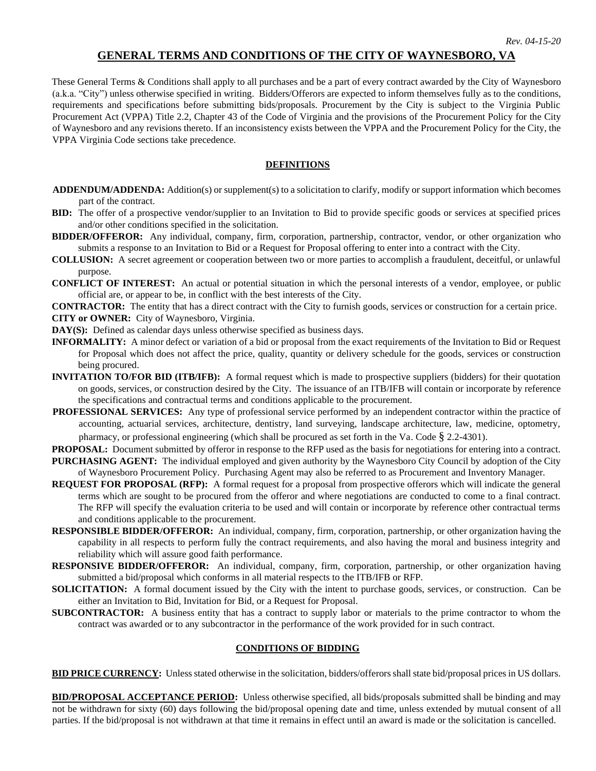# **GENERAL TERMS AND CONDITIONS OF THE CITY OF WAYNESBORO, VA**

These General Terms & Conditions shall apply to all purchases and be a part of every contract awarded by the City of Waynesboro (a.k.a. "City") unless otherwise specified in writing. Bidders/Offerors are expected to inform themselves fully as to the conditions, requirements and specifications before submitting bids/proposals. Procurement by the City is subject to the Virginia Public Procurement Act (VPPA) Title 2.2, Chapter 43 of the Code of Virginia and the provisions of the Procurement Policy for the City of Waynesboro and any revisions thereto. If an inconsistency exists between the VPPA and the Procurement Policy for the City, the VPPA Virginia Code sections take precedence.

#### **DEFINITIONS**

- **ADDENDUM/ADDENDA:** Addition(s) or supplement(s) to a solicitation to clarify, modify or support information which becomes part of the contract.
- **BID:** The offer of a prospective vendor/supplier to an Invitation to Bid to provide specific goods or services at specified prices and/or other conditions specified in the solicitation.
- **BIDDER/OFFEROR:** Any individual, company, firm, corporation, partnership, contractor, vendor, or other organization who submits a response to an Invitation to Bid or a Request for Proposal offering to enter into a contract with the City.
- **COLLUSION:** A secret agreement or cooperation between two or more parties to accomplish a fraudulent, deceitful, or unlawful purpose.
- **CONFLICT OF INTEREST:** An actual or potential situation in which the personal interests of a vendor, employee, or public official are, or appear to be, in conflict with the best interests of the City.
- **CONTRACTOR:** The entity that has a direct contract with the City to furnish goods, services or construction for a certain price.
- **CITY or OWNER:** City of Waynesboro, Virginia.
- **DAY(S):** Defined as calendar days unless otherwise specified as business days.
- **INFORMALITY:** A minor defect or variation of a bid or proposal from the exact requirements of the Invitation to Bid or Request for Proposal which does not affect the price, quality, quantity or delivery schedule for the goods, services or construction being procured.
- **INVITATION TO/FOR BID (ITB/IFB):** A formal request which is made to prospective suppliers (bidders) for their quotation on goods, services, or construction desired by the City. The issuance of an ITB/IFB will contain or incorporate by reference the specifications and contractual terms and conditions applicable to the procurement.
- **PROFESSIONAL SERVICES:** Any type of professional service performed by an independent contractor within the practice of accounting, actuarial services, architecture, dentistry, land surveying, landscape architecture, law, medicine, optometry, pharmacy, or professional engineering (which shall be procured as set forth in the Va. Code § 2.2-4301).
- **PROPOSAL:** Document submitted by offeror in response to the RFP used as the basis for negotiations for entering into a contract.
- **PURCHASING AGENT:** The individual employed and given authority by the Waynesboro City Council by adoption of the City of Waynesboro Procurement Policy. Purchasing Agent may also be referred to as Procurement and Inventory Manager.
- **REQUEST FOR PROPOSAL (RFP):** A formal request for a proposal from prospective offerors which will indicate the general terms which are sought to be procured from the offeror and where negotiations are conducted to come to a final contract. The RFP will specify the evaluation criteria to be used and will contain or incorporate by reference other contractual terms and conditions applicable to the procurement.
- **RESPONSIBLE BIDDER/OFFEROR:** An individual, company, firm, corporation, partnership, or other organization having the capability in all respects to perform fully the contract requirements, and also having the moral and business integrity and reliability which will assure good faith performance.
- **RESPONSIVE BIDDER/OFFEROR:** An individual, company, firm, corporation, partnership, or other organization having submitted a bid/proposal which conforms in all material respects to the ITB/IFB or RFP.
- **SOLICITATION:** A formal document issued by the City with the intent to purchase goods, services, or construction. Can be either an Invitation to Bid, Invitation for Bid, or a Request for Proposal.
- **SUBCONTRACTOR:** A business entity that has a contract to supply labor or materials to the prime contractor to whom the contract was awarded or to any subcontractor in the performance of the work provided for in such contract.

#### **CONDITIONS OF BIDDING**

**BID PRICE CURRENCY:** Unless stated otherwise in the solicitation, bidders/offerors shall state bid/proposal prices in US dollars.

**BID/PROPOSAL ACCEPTANCE PERIOD:** Unless otherwise specified, all bids/proposals submitted shall be binding and may not be withdrawn for sixty (60) days following the bid/proposal opening date and time, unless extended by mutual consent of all parties. If the bid/proposal is not withdrawn at that time it remains in effect until an award is made or the solicitation is cancelled.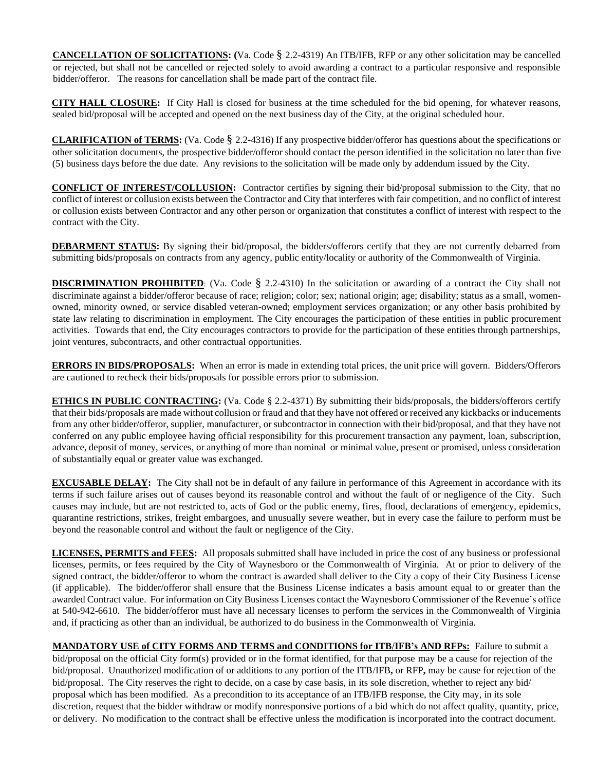**CANCELLATION OF SOLICITATIONS: (**Va. Code § 2.2-4319) An ITB/IFB, RFP or any other solicitation may be cancelled or rejected, but shall not be cancelled or rejected solely to avoid awarding a contract to a particular responsive and responsible bidder/offeror. The reasons for cancellation shall be made part of the contract file.

**CITY HALL CLOSURE:** If City Hall is closed for business at the time scheduled for the bid opening, for whatever reasons, sealed bid/proposal will be accepted and opened on the next business day of the City, at the original scheduled hour.

**CLARIFICATION of TERMS:** (Va. Code § 2.2-4316) If any prospective bidder/offeror has questions about the specifications or other solicitation documents, the prospective bidder/offeror should contact the person identified in the solicitation no later than five (5) business days before the due date. Any revisions to the solicitation will be made only by addendum issued by the City.

**CONFLICT OF INTEREST/COLLUSION:** Contractor certifies by signing their bid/proposal submission to the City, that no conflict of interest or collusion exists between the Contractor and City that interferes with fair competition, and no conflict of interest or collusion exists between Contractor and any other person or organization that constitutes a conflict of interest with respect to the contract with the City.

**DEBARMENT STATUS:** By signing their bid/proposal, the bidders/offerors certify that they are not currently debarred from submitting bids/proposals on contracts from any agency, public entity/locality or authority of the Commonwealth of Virginia.

**DISCRIMINATION PROHIBITED**: (Va. Code § 2.2-4310) In the solicitation or awarding of a contract the City shall not discriminate against a bidder/offeror because of race; religion; color; sex; national origin; age; disability; status as a small, womenowned, minority owned, or service disabled veteran-owned; employment services organization; or any other basis prohibited by state law relating to discrimination in employment. The City encourages the participation of these entities in public procurement activities. Towards that end, the City encourages contractors to provide for the participation of these entities through partnerships, joint ventures, subcontracts, and other contractual opportunities.

**ERRORS IN BIDS/PROPOSALS:** When an error is made in extending total prices, the unit price will govern. Bidders/Offerors are cautioned to recheck their bids/proposals for possible errors prior to submission.

**ETHICS IN PUBLIC CONTRACTING:** (Va. Code § 2.2-4371) By submitting their bids/proposals, the bidders/offerors certify that their bids/proposals are made without collusion or fraud and that they have not offered or received any kickbacks or inducements from any other bidder/offeror, supplier, manufacturer, or subcontractor in connection with their bid/proposal, and that they have not conferred on any public employee having official responsibility for this procurement transaction any payment, loan, subscription, advance, deposit of money, services, or anything of more than nominal or minimal value, present or promised, unless consideration of substantially equal or greater value was exchanged.

**EXCUSABLE DELAY:** The City shall not be in default of any failure in performance of this Agreement in accordance with its terms if such failure arises out of causes beyond its reasonable control and without the fault of or negligence of the City. Such causes may include, but are not restricted to, acts of God or the public enemy, fires, flood, declarations of emergency, epidemics, quarantine restrictions, strikes, freight embargoes, and unusually severe weather, but in every case the failure to perform must be beyond the reasonable control and without the fault or negligence of the City.

**LICENSES, PERMITS and FEES:** All proposals submitted shall have included in price the cost of any business or professional licenses, permits, or fees required by the City of Waynesboro or the Commonwealth of Virginia. At or prior to delivery of the signed contract, the bidder/offeror to whom the contract is awarded shall deliver to the City a copy of their City Business License (if applicable). The bidder/offeror shall ensure that the Business License indicates a basis amount equal to or greater than the awarded Contract value. For information on City Business Licenses contact the Waynesboro Commissioner of the Revenue's office at 540-942-6610. The bidder/offeror must have all necessary licenses to perform the services in the Commonwealth of Virginia and, if practicing as other than an individual, be authorized to do business in the Commonwealth of Virginia.

**MANDATORY USE of CITY FORMS AND TERMS and CONDITIONS for ITB/IFB's AND RFPs:** Failure to submit a bid/proposal on the official City form(s) provided or in the format identified, for that purpose may be a cause for rejection of the bid/proposal. Unauthorized modification of or additions to any portion of the ITB/IFB**,** or RFP**,** may be cause for rejection of the bid/proposal. The City reserves the right to decide, on a case by case basis, in its sole discretion, whether to reject any bid/ proposal which has been modified. As a precondition to its acceptance of an ITB/IFB response, the City may, in its sole discretion, request that the bidder withdraw or modify nonresponsive portions of a bid which do not affect quality, quantity, price, or delivery. No modification to the contract shall be effective unless the modification is incorporated into the contract document.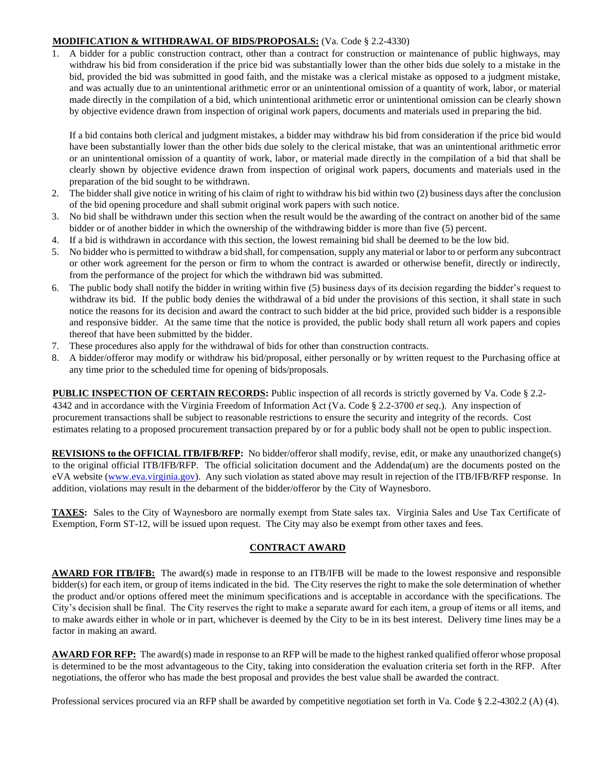### **MODIFICATION & WITHDRAWAL OF BIDS/PROPOSALS:** (Va. Code § 2.2-4330)

1. A bidder for a public construction contract, other than a contract for construction or maintenance of public highways, may withdraw his bid from consideration if the price bid was substantially lower than the other bids due solely to a mistake in the bid, provided the bid was submitted in good faith, and the mistake was a clerical mistake as opposed to a judgment mistake, and was actually due to an unintentional arithmetic error or an unintentional omission of a quantity of work, labor, or material made directly in the compilation of a bid, which unintentional arithmetic error or unintentional omission can be clearly shown by objective evidence drawn from inspection of original work papers, documents and materials used in preparing the bid.

If a bid contains both clerical and judgment mistakes, a bidder may withdraw his bid from consideration if the price bid would have been substantially lower than the other bids due solely to the clerical mistake, that was an unintentional arithmetic error or an unintentional omission of a quantity of work, labor, or material made directly in the compilation of a bid that shall be clearly shown by objective evidence drawn from inspection of original work papers, documents and materials used in the preparation of the bid sought to be withdrawn.

- 2. The bidder shall give notice in writing of his claim of right to withdraw his bid within two (2) business days after the conclusion of the bid opening procedure and shall submit original work papers with such notice.
- 3. No bid shall be withdrawn under this section when the result would be the awarding of the contract on another bid of the same bidder or of another bidder in which the ownership of the withdrawing bidder is more than five (5) percent.
- 4. If a bid is withdrawn in accordance with this section, the lowest remaining bid shall be deemed to be the low bid.
- 5. No bidder who is permitted to withdraw a bid shall, for compensation, supply any material or labor to or perform any subcontract or other work agreement for the person or firm to whom the contract is awarded or otherwise benefit, directly or indirectly, from the performance of the project for which the withdrawn bid was submitted.
- 6. The public body shall notify the bidder in writing within five (5) business days of its decision regarding the bidder's request to withdraw its bid. If the public body denies the withdrawal of a bid under the provisions of this section, it shall state in such notice the reasons for its decision and award the contract to such bidder at the bid price, provided such bidder is a responsible and responsive bidder. At the same time that the notice is provided, the public body shall return all work papers and copies thereof that have been submitted by the bidder.
- 7. These procedures also apply for the withdrawal of bids for other than construction contracts.
- 8. A bidder/offeror may modify or withdraw his bid/proposal, either personally or by written request to the Purchasing office at any time prior to the scheduled time for opening of bids/proposals.

**PUBLIC INSPECTION OF CERTAIN RECORDS:** Public inspection of all records is strictly governed by Va. Code § 2.2- 4342 and in accordance with the Virginia Freedom of Information Act (Va. Code § 2.2-3700 *et seq*.). Any inspection of procurement transactions shall be subject to reasonable restrictions to ensure the security and integrity of the records. Cost estimates relating to a proposed procurement transaction prepared by or for a public body shall not be open to public inspection.

**REVISIONS to the OFFICIAL ITB/IFB/RFP:** No bidder/offeror shall modify, revise, edit, or make any unauthorized change(s) to the original official ITB/IFB/RFP. The official solicitation document and the Addenda(um) are the documents posted on the eVA website [\(www.eva.virginia.gov\).](http://www.eva.virginia.gov/) Any such violation as stated above may result in rejection of the ITB/IFB/RFP response. In addition, violations may result in the debarment of the bidder/offeror by the City of Waynesboro.

**TAXES:** Sales to the City of Waynesboro are normally exempt from State sales tax. Virginia Sales and Use Tax Certificate of Exemption, Form ST-12, will be issued upon request. The City may also be exempt from other taxes and fees.

# **CONTRACT AWARD**

**AWARD FOR ITB/IFB:** The award(s) made in response to an ITB/IFB will be made to the lowest responsive and responsible bidder(s) for each item, or group of items indicated in the bid. The City reserves the right to make the sole determination of whether the product and/or options offered meet the minimum specifications and is acceptable in accordance with the specifications. The City's decision shall be final. The City reserves the right to make a separate award for each item, a group of items or all items, and to make awards either in whole or in part, whichever is deemed by the City to be in its best interest. Delivery time lines may be a factor in making an award.

**AWARD FOR RFP:** The award(s) made in response to an RFP will be made to the highest ranked qualified offeror whose proposal is determined to be the most advantageous to the City, taking into consideration the evaluation criteria set forth in the RFP. After negotiations, the offeror who has made the best proposal and provides the best value shall be awarded the contract.

Professional services procured via an RFP shall be awarded by competitive negotiation set forth in Va. Code § 2.2-4302.2 (A) (4).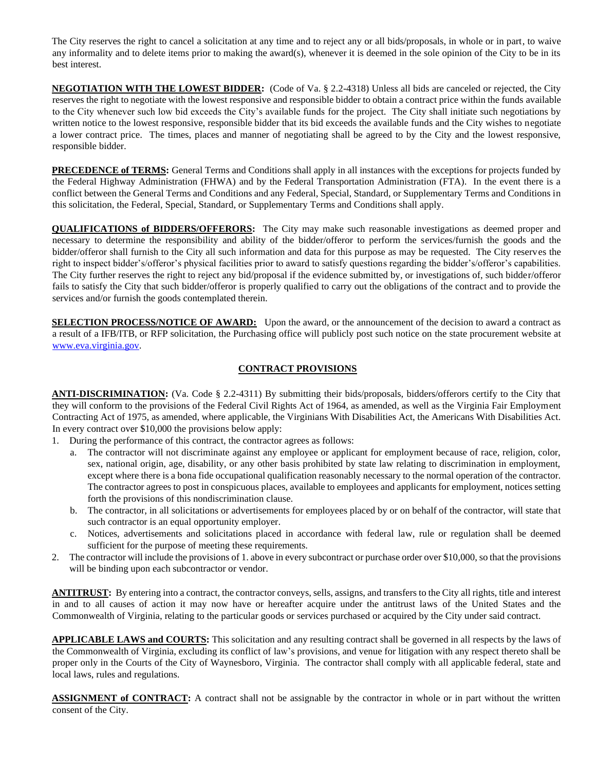The City reserves the right to cancel a solicitation at any time and to reject any or all bids/proposals, in whole or in part, to waive any informality and to delete items prior to making the award(s), whenever it is deemed in the sole opinion of the City to be in its best interest.

**NEGOTIATION WITH THE LOWEST BIDDER:** (Code of Va. § 2.2-4318) Unless all bids are canceled or rejected, the City reserves the right to negotiate with the lowest responsive and responsible bidder to obtain a contract price within the funds available to the City whenever such low bid exceeds the City's available funds for the project. The City shall initiate such negotiations by written notice to the lowest responsive, responsible bidder that its bid exceeds the available funds and the City wishes to negotiate a lower contract price. The times, places and manner of negotiating shall be agreed to by the City and the lowest responsive, responsible bidder.

**PRECEDENCE of TERMS:** General Terms and Conditions shall apply in all instances with the exceptions for projects funded by the Federal Highway Administration (FHWA) and by the Federal Transportation Administration (FTA). In the event there is a conflict between the General Terms and Conditions and any Federal, Special, Standard, or Supplementary Terms and Conditions in this solicitation, the Federal, Special, Standard, or Supplementary Terms and Conditions shall apply.

**QUALIFICATIONS of BIDDERS/OFFERORS:** The City may make such reasonable investigations as deemed proper and necessary to determine the responsibility and ability of the bidder/offeror to perform the services/furnish the goods and the bidder/offeror shall furnish to the City all such information and data for this purpose as may be requested. The City reserves the right to inspect bidder's/offeror's physical facilities prior to award to satisfy questions regarding the bidder's/offeror's capabilities. The City further reserves the right to reject any bid/proposal if the evidence submitted by, or investigations of, such bidder/offeror fails to satisfy the City that such bidder/offeror is properly qualified to carry out the obligations of the contract and to provide the services and/or furnish the goods contemplated therein.

**SELECTION PROCESS/NOTICE OF AWARD:** Upon the award, or the announcement of the decision to award a contract as a result of a IFB/ITB, or RFP solicitation, the Purchasing office will publicly post such notice on the state procurement website at [www.eva.virginia.gov.](http://www.eva.virginia.gov/) 

# **CONTRACT PROVISIONS**

**ANTI-DISCRIMINATION:** (Va. Code § 2.2-4311) By submitting their bids/proposals, bidders/offerors certify to the City that they will conform to the provisions of the Federal Civil Rights Act of 1964, as amended, as well as the Virginia Fair Employment Contracting Act of 1975, as amended, where applicable, the Virginians With Disabilities Act, the Americans With Disabilities Act. In every contract over \$10,000 the provisions below apply:

- 1. During the performance of this contract, the contractor agrees as follows:
	- a. The contractor will not discriminate against any employee or applicant for employment because of race, religion, color, sex, national origin, age, disability, or any other basis prohibited by state law relating to discrimination in employment, except where there is a bona fide occupational qualification reasonably necessary to the normal operation of the contractor. The contractor agrees to post in conspicuous places, available to employees and applicants for employment, notices setting forth the provisions of this nondiscrimination clause.
	- b. The contractor, in all solicitations or advertisements for employees placed by or on behalf of the contractor, will state that such contractor is an equal opportunity employer.
	- c. Notices, advertisements and solicitations placed in accordance with federal law, rule or regulation shall be deemed sufficient for the purpose of meeting these requirements.
- 2. The contractor will include the provisions of 1. above in every subcontract or purchase order over \$10,000, so that the provisions will be binding upon each subcontractor or vendor.

**ANTITRUST:** By entering into a contract, the contractor conveys, sells, assigns, and transfers to the City all rights, title and interest in and to all causes of action it may now have or hereafter acquire under the antitrust laws of the United States and the Commonwealth of Virginia, relating to the particular goods or services purchased or acquired by the City under said contract.

**APPLICABLE LAWS and COURTS:** This solicitation and any resulting contract shall be governed in all respects by the laws of the Commonwealth of Virginia, excluding its conflict of law's provisions, and venue for litigation with any respect thereto shall be proper only in the Courts of the City of Waynesboro, Virginia. The contractor shall comply with all applicable federal, state and local laws, rules and regulations.

**ASSIGNMENT of CONTRACT:** A contract shall not be assignable by the contractor in whole or in part without the written consent of the City.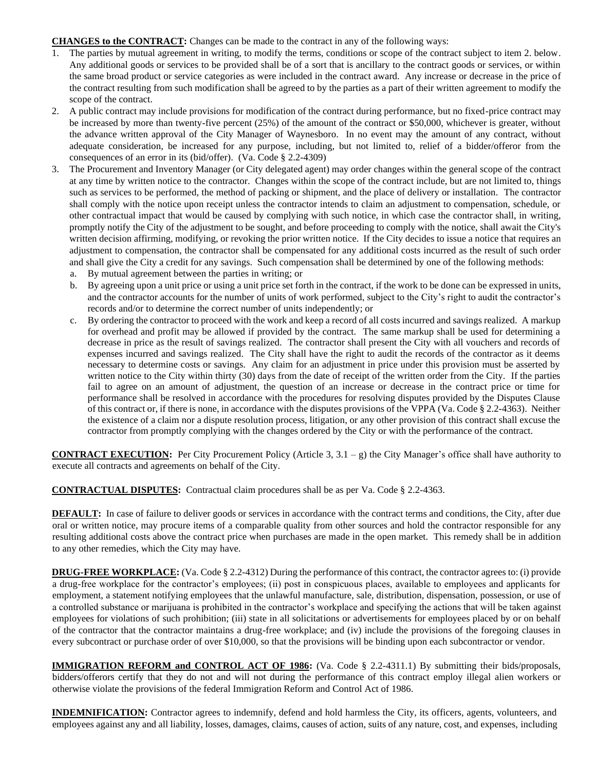#### **CHANGES to the CONTRACT:** Changes can be made to the contract in any of the following ways:

- 1. The parties by mutual agreement in writing, to modify the terms, conditions or scope of the contract subject to item 2. below. Any additional goods or services to be provided shall be of a sort that is ancillary to the contract goods or services, or within the same broad product or service categories as were included in the contract award. Any increase or decrease in the price of the contract resulting from such modification shall be agreed to by the parties as a part of their written agreement to modify the scope of the contract.
- 2. A public contract may include provisions for modification of the contract during performance, but no fixed-price contract may be increased by more than twenty-five percent (25%) of the amount of the contract or \$50,000, whichever is greater, without the advance written approval of the City Manager of Waynesboro. In no event may the amount of any contract, without adequate consideration, be increased for any purpose, including, but not limited to, relief of a bidder/offeror from the consequences of an error in its (bid/offer). (Va. Code § 2.2-4309)
- 3. The Procurement and Inventory Manager (or City delegated agent) may order changes within the general scope of the contract at any time by written notice to the contractor. Changes within the scope of the contract include, but are not limited to, things such as services to be performed, the method of packing or shipment, and the place of delivery or installation. The contractor shall comply with the notice upon receipt unless the contractor intends to claim an adjustment to compensation, schedule, or other contractual impact that would be caused by complying with such notice, in which case the contractor shall, in writing, promptly notify the City of the adjustment to be sought, and before proceeding to comply with the notice, shall await the City's written decision affirming, modifying, or revoking the prior written notice. If the City decides to issue a notice that requires an adjustment to compensation, the contractor shall be compensated for any additional costs incurred as the result of such order and shall give the City a credit for any savings. Such compensation shall be determined by one of the following methods:
	- a. By mutual agreement between the parties in writing; or
	- b. By agreeing upon a unit price or using a unit price set forth in the contract, if the work to be done can be expressed in units, and the contractor accounts for the number of units of work performed, subject to the City's right to audit the contractor's records and/or to determine the correct number of units independently; or
	- c. By ordering the contractor to proceed with the work and keep a record of all costs incurred and savings realized. A markup for overhead and profit may be allowed if provided by the contract. The same markup shall be used for determining a decrease in price as the result of savings realized. The contractor shall present the City with all vouchers and records of expenses incurred and savings realized. The City shall have the right to audit the records of the contractor as it deems necessary to determine costs or savings. Any claim for an adjustment in price under this provision must be asserted by written notice to the City within thirty (30) days from the date of receipt of the written order from the City. If the parties fail to agree on an amount of adjustment, the question of an increase or decrease in the contract price or time for performance shall be resolved in accordance with the procedures for resolving disputes provided by the Disputes Clause of this contract or, if there is none, in accordance with the disputes provisions of the VPPA (Va. Code § 2.2-4363). Neither the existence of a claim nor a dispute resolution process, litigation, or any other provision of this contract shall excuse the contractor from promptly complying with the changes ordered by the City or with the performance of the contract.

**CONTRACT EXECUTION:** Per City Procurement Policy (Article 3, 3.1 – g) the City Manager's office shall have authority to execute all contracts and agreements on behalf of the City.

**CONTRACTUAL DISPUTES:** Contractual claim procedures shall be as per Va. Code § 2.2-4363.

**DEFAULT:** In case of failure to deliver goods or services in accordance with the contract terms and conditions, the City, after due oral or written notice, may procure items of a comparable quality from other sources and hold the contractor responsible for any resulting additional costs above the contract price when purchases are made in the open market. This remedy shall be in addition to any other remedies, which the City may have.

**DRUG-FREE WORKPLACE:** (Va. Code § 2.2-4312) During the performance of this contract, the contractor agrees to: (i) provide a drug-free workplace for the contractor's employees; (ii) post in conspicuous places, available to employees and applicants for employment, a statement notifying employees that the unlawful manufacture, sale, distribution, dispensation, possession, or use of a controlled substance or marijuana is prohibited in the contractor's workplace and specifying the actions that will be taken against employees for violations of such prohibition; (iii) state in all solicitations or advertisements for employees placed by or on behalf of the contractor that the contractor maintains a drug-free workplace; and (iv) include the provisions of the foregoing clauses in every subcontract or purchase order of over \$10,000, so that the provisions will be binding upon each subcontractor or vendor.

**IMMIGRATION REFORM and CONTROL ACT OF 1986:** (Va. Code § 2.2-4311.1) By submitting their bids/proposals, bidders/offerors certify that they do not and will not during the performance of this contract employ illegal alien workers or otherwise violate the provisions of the federal Immigration Reform and Control Act of 1986.

**INDEMNIFICATION:** Contractor agrees to indemnify, defend and hold harmless the City, its officers, agents, volunteers, and employees against any and all liability, losses, damages, claims, causes of action, suits of any nature, cost, and expenses, including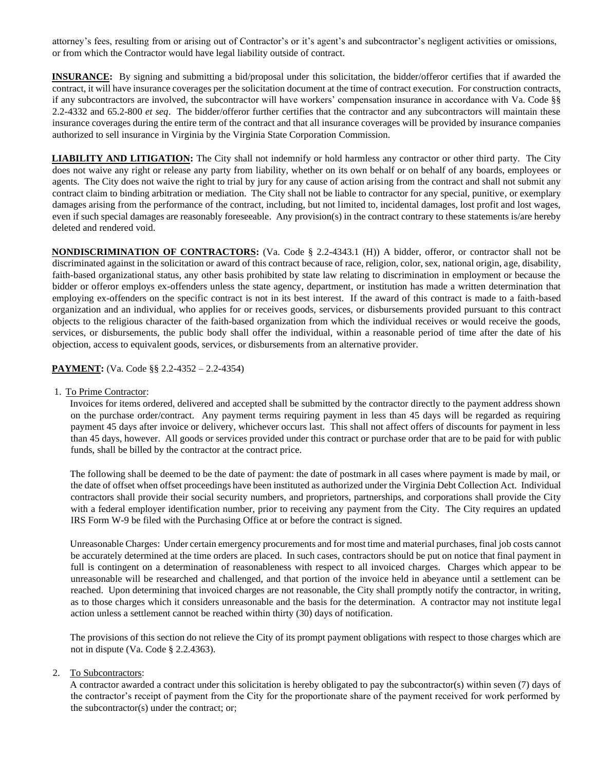attorney's fees, resulting from or arising out of Contractor's or it's agent's and subcontractor's negligent activities or omissions, or from which the Contractor would have legal liability outside of contract.

**INSURANCE:** By signing and submitting a bid/proposal under this solicitation, the bidder/offeror certifies that if awarded the contract, it will have insurance coverages per the solicitation document at the time of contract execution. For construction contracts, if any subcontractors are involved, the subcontractor will have workers' compensation insurance in accordance with Va. Code §§ 2.2-4332 and 65.2-800 *et seq*. The bidder/offeror further certifies that the contractor and any subcontractors will maintain these insurance coverages during the entire term of the contract and that all insurance coverages will be provided by insurance companies authorized to sell insurance in Virginia by the Virginia State Corporation Commission.

**LIABILITY AND LITIGATION:** The City shall not indemnify or hold harmless any contractor or other third party. The City does not waive any right or release any party from liability, whether on its own behalf or on behalf of any boards, employees or agents. The City does not waive the right to trial by jury for any cause of action arising from the contract and shall not submit any contract claim to binding arbitration or mediation. The City shall not be liable to contractor for any special, punitive, or exemplary damages arising from the performance of the contract, including, but not limited to, incidental damages, lost profit and lost wages, even if such special damages are reasonably foreseeable. Any provision(s) in the contract contrary to these statements is/are hereby deleted and rendered void.

**NONDISCRIMINATION OF CONTRACTORS:** (Va. Code § 2.2-4343.1 (H)) A bidder, offeror, or contractor shall not be discriminated against in the solicitation or award of this contract because of race, religion, color, sex, national origin, age, disability, faith-based organizational status, any other basis prohibited by state law relating to discrimination in employment or because the bidder or offeror employs ex-offenders unless the state agency, department, or institution has made a written determination that employing ex-offenders on the specific contract is not in its best interest. If the award of this contract is made to a faith-based organization and an individual, who applies for or receives goods, services, or disbursements provided pursuant to this contract objects to the religious character of the faith-based organization from which the individual receives or would receive the goods, services, or disbursements, the public body shall offer the individual, within a reasonable period of time after the date of his objection, access to equivalent goods, services, or disbursements from an alternative provider.

### **PAYMENT:** (Va. Code §§ 2.2-4352 – 2.2-4354)

1. To Prime Contractor:

Invoices for items ordered, delivered and accepted shall be submitted by the contractor directly to the payment address shown on the purchase order/contract. Any payment terms requiring payment in less than 45 days will be regarded as requiring payment 45 days after invoice or delivery, whichever occurs last. This shall not affect offers of discounts for payment in less than 45 days, however. All goods or services provided under this contract or purchase order that are to be paid for with public funds, shall be billed by the contractor at the contract price.

The following shall be deemed to be the date of payment: the date of postmark in all cases where payment is made by mail, or the date of offset when offset proceedings have been instituted as authorized under the Virginia Debt Collection Act. Individual contractors shall provide their social security numbers, and proprietors, partnerships, and corporations shall provide the City with a federal employer identification number, prior to receiving any payment from the City. The City requires an updated IRS Form W-9 be filed with the Purchasing Office at or before the contract is signed.

Unreasonable Charges: Under certain emergency procurements and for most time and material purchases, final job costs cannot be accurately determined at the time orders are placed. In such cases, contractors should be put on notice that final payment in full is contingent on a determination of reasonableness with respect to all invoiced charges. Charges which appear to be unreasonable will be researched and challenged, and that portion of the invoice held in abeyance until a settlement can be reached. Upon determining that invoiced charges are not reasonable, the City shall promptly notify the contractor, in writing, as to those charges which it considers unreasonable and the basis for the determination. A contractor may not institute legal action unless a settlement cannot be reached within thirty (30) days of notification.

The provisions of this section do not relieve the City of its prompt payment obligations with respect to those charges which are not in dispute (Va. Code § 2.2.4363).

2. To Subcontractors:

A contractor awarded a contract under this solicitation is hereby obligated to pay the subcontractor(s) within seven (7) days of the contractor's receipt of payment from the City for the proportionate share of the payment received for work performed by the subcontractor(s) under the contract; or;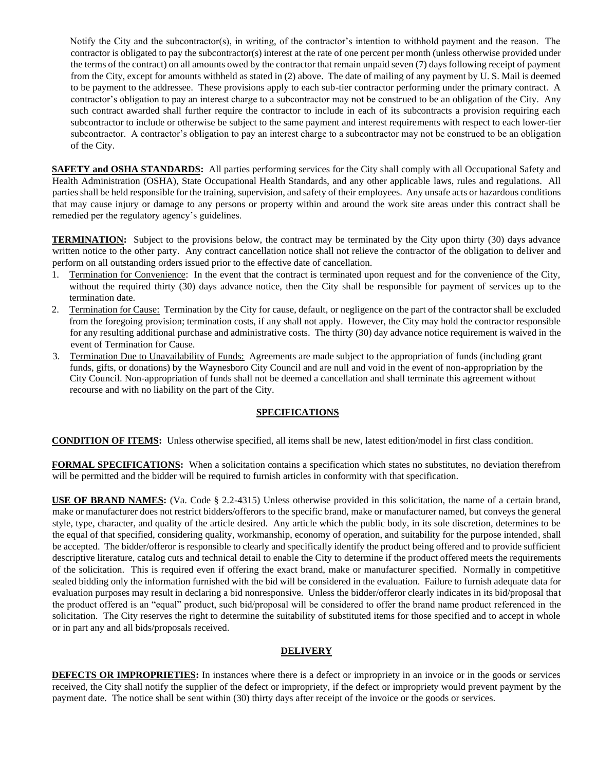Notify the City and the subcontractor(s), in writing, of the contractor's intention to withhold payment and the reason. The contractor is obligated to pay the subcontractor(s) interest at the rate of one percent per month (unless otherwise provided under the terms of the contract) on all amounts owed by the contractor that remain unpaid seven (7) days following receipt of payment from the City, except for amounts withheld as stated in (2) above. The date of mailing of any payment by U. S. Mail is deemed to be payment to the addressee. These provisions apply to each sub-tier contractor performing under the primary contract. A contractor's obligation to pay an interest charge to a subcontractor may not be construed to be an obligation of the City. Any such contract awarded shall further require the contractor to include in each of its subcontracts a provision requiring each subcontractor to include or otherwise be subject to the same payment and interest requirements with respect to each lower-tier subcontractor. A contractor's obligation to pay an interest charge to a subcontractor may not be construed to be an obligation of the City.

**SAFETY and OSHA STANDARDS:** All parties performing services for the City shall comply with all Occupational Safety and Health Administration (OSHA), State Occupational Health Standards, and any other applicable laws, rules and regulations. All parties shall be held responsible for the training, supervision, and safety of their employees. Any unsafe acts or hazardous conditions that may cause injury or damage to any persons or property within and around the work site areas under this contract shall be remedied per the regulatory agency's guidelines.

**TERMINATION:** Subject to the provisions below, the contract may be terminated by the City upon thirty (30) days advance written notice to the other party. Any contract cancellation notice shall not relieve the contractor of the obligation to deliver and perform on all outstanding orders issued prior to the effective date of cancellation.

- 1. Termination for Convenience: In the event that the contract is terminated upon request and for the convenience of the City, without the required thirty (30) days advance notice, then the City shall be responsible for payment of services up to the termination date.
- 2. Termination for Cause: Termination by the City for cause, default, or negligence on the part of the contractor shall be excluded from the foregoing provision; termination costs, if any shall not apply. However, the City may hold the contractor responsible for any resulting additional purchase and administrative costs. The thirty (30) day advance notice requirement is waived in the event of Termination for Cause.
- 3. Termination Due to Unavailability of Funds: Agreements are made subject to the appropriation of funds (including grant funds, gifts, or donations) by the Waynesboro City Council and are null and void in the event of non-appropriation by the City Council. Non-appropriation of funds shall not be deemed a cancellation and shall terminate this agreement without recourse and with no liability on the part of the City.

# **SPECIFICATIONS**

**CONDITION OF ITEMS:** Unless otherwise specified, all items shall be new, latest edition/model in first class condition.

**FORMAL SPECIFICATIONS:** When a solicitation contains a specification which states no substitutes, no deviation therefrom will be permitted and the bidder will be required to furnish articles in conformity with that specification.

**USE OF BRAND NAMES:** (Va. Code § 2.2-4315) Unless otherwise provided in this solicitation, the name of a certain brand, make or manufacturer does not restrict bidders/offerors to the specific brand, make or manufacturer named, but conveys the general style, type, character, and quality of the article desired. Any article which the public body, in its sole discretion, determines to be the equal of that specified, considering quality, workmanship, economy of operation, and suitability for the purpose intended, shall be accepted. The bidder/offeror is responsible to clearly and specifically identify the product being offered and to provide sufficient descriptive literature, catalog cuts and technical detail to enable the City to determine if the product offered meets the requirements of the solicitation. This is required even if offering the exact brand, make or manufacturer specified. Normally in competitive sealed bidding only the information furnished with the bid will be considered in the evaluation. Failure to furnish adequate data for evaluation purposes may result in declaring a bid nonresponsive. Unless the bidder/offeror clearly indicates in its bid/proposal that the product offered is an "equal" product, such bid/proposal will be considered to offer the brand name product referenced in the solicitation. The City reserves the right to determine the suitability of substituted items for those specified and to accept in whole or in part any and all bids/proposals received.

# **DELIVERY**

**DEFECTS OR IMPROPRIETIES:** In instances where there is a defect or impropriety in an invoice or in the goods or services received, the City shall notify the supplier of the defect or impropriety, if the defect or impropriety would prevent payment by the payment date. The notice shall be sent within (30) thirty days after receipt of the invoice or the goods or services.